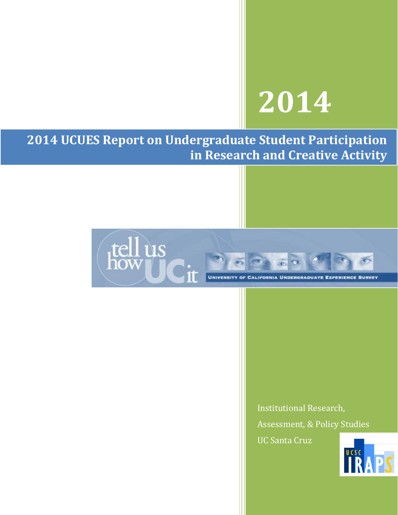# **2014**

**2014 UCUES Report on Undergraduate Student Participation in Research and Creative Activity**



Institutional Research, Assessment, & Policy Studies UC Santa Cruz

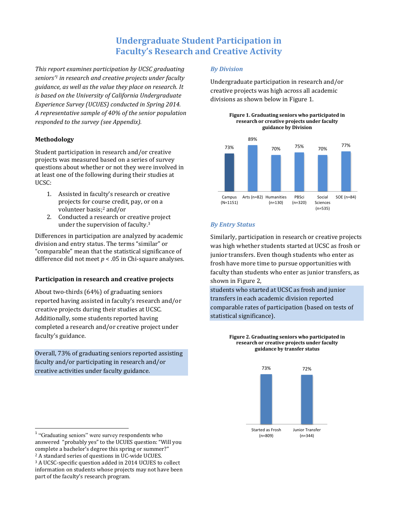# **Undergraduate Student Participation in Faculty's Research and Creative Activity**

*This report examines participation by UCSC graduating seniors' <sup>1</sup> in research and creative projects under faculty guidance, as well as the value they place on research. It is based on the University of California Undergraduate Experience Survey (UCUES) conducted in Spring 2014. A representative sample of 40% of the senior population responded to the survey (see Appendix).*

#### **Methodology**

Student participation in research and/or creative projects was measured based on a series of survey questions about whether or not they were involved in at least one of the following during their studies at UCSC:

- 1. Assisted in faculty's research or creative projects for course credit, pay, or on a volunteer basis;<sup>2</sup> and/or
- 2. Conducted a research or creative project under the supervision of faculty.<sup>3</sup>

Differences in participation are analyzed by academic division and entry status. The terms "similar" or "comparable" mean that the statistical significance of difference did not meet *p* < .05 in Chi-square analyses.

### **Participation in research and creative projects**

About two-thirds (64%) of graduating seniors reported having assisted in faculty's research and/or creative projects during their studies at UCSC. Additionally, some students reported having completed a research and/or creative project under faculty's guidance.

Overall, 73% of graduating seniors reported assisting faculty and/or participating in research and/or creative activities under faculty guidance.

#### *By Division*

Undergraduate participation in research and/or creative projects was high across all academic divisions as shown below in Figure 1.





#### *By Entry Status*

Similarly, participation in research or creative projects was high whether students started at UCSC as frosh or junior transfers. Even though students who enter as frosh have more time to pursue opportunities with faculty than students who enter as junior transfers, as shown in Figure 2,

students who started at UCSC as frosh and junior transfers in each academic division reported comparable rates of participation (based on tests of statistical significance).





 1 "Graduating seniors" were survey respondents who answered "probably yes" to the UCUES question: "Will you complete a bachelor's degree this spring or summer?" <sup>2</sup> A standard series of questions in UC-wide UCUES. <sup>3</sup> A UCSC-specific question added in 2014 UCUES to collect information on students whose projects may not have been part of the faculty's research program.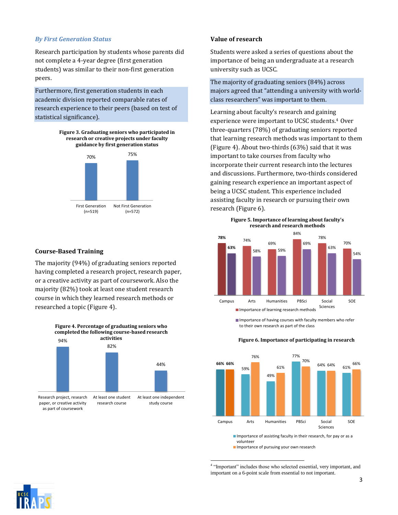#### *By First Generation Status*

Research participation by students whose parents did not complete a 4-year degree (first generation students) was similar to their non-first generation peers.

Furthermore, first generation students in each academic division reported comparable rates of research experience to their peers (based on test of statistical significance).

> **Figure 3. Graduating seniors who participated in research or creative projects under faculty guidance by first generation status**



#### **Course-Based Training**

The majority (94%) of graduating seniors reported having completed a research project, research paper, or a creative activity as part of coursework. Also the majority (82%) took at least one student research course in which they learned research methods or researched a topic (Figure 4).



#### **Value of research**

Students were asked a series of questions about the importance of being an undergraduate at a research university such as UCSC.

The majority of graduating seniors (84%) across majors agreed that "attending a university with worldclass researchers" was important to them.

Learning about faculty's research and gaining experience were important to UCSC students. <sup>4</sup> Over three-quarters (78%) of graduating seniors reported that learning research methods was important to them (Figure 4). About two-thirds (63%) said that it was important to take courses from faculty who incorporate their current research into the lectures and discussions. Furthermore, two-thirds considered gaining research experience an important aspect of being a UCSC student. This experience included assisting faculty in research or pursuing their own research (Figure 6).





Importance of having courses with faculty members who refer to their own research as part of the class

#### **Figure 6. Importance of participating in research**



Importance of assisting faculty in their research, for pay or as a volunteer **Importance of pursuing your own research** 

 $\overline{a}$ <sup>4</sup> "Important" includes those who selected essential, very important, and important on a 6-point scale from essential to not important.

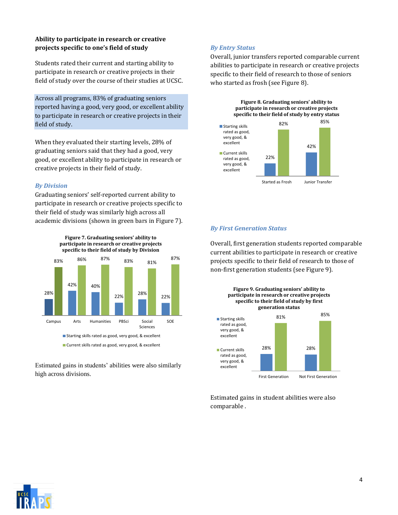# **Ability to participate in research or creative projects specific to one's field of study**

Students rated their current and starting ability to participate in research or creative projects in their field of study over the course of their studies at UCSC.

Across all programs, 83% of graduating seniors reported having a good, very good, or excellent ability to participate in research or creative projects in their field of study.

When they evaluated their starting levels, 28% of graduating seniors said that they had a good, very good, or excellent ability to participate in research or creative projects in their field of study.

#### *By Division*

Graduating seniors' self-reported current ability to participate in research or creative projects specific to their field of study was similarly high across all academic divisions (shown in green bars in Figure 7).



Current skills rated as good, very good, & excellent

Estimated gains in students' abilities were also similarly high across divisions.

# *By Entry Status*

Overall, junior transfers reported comparable current abilities to participate in research or creative projects specific to their field of research to those of seniors who started as frosh (see Figure 8).





#### *By First Generation Status*

Overall, first generation students reported comparable current abilities to participate in research or creative projects specific to their field of research to those of non-first generation students (see Figure 9).



Estimated gains in student abilities were also comparable .